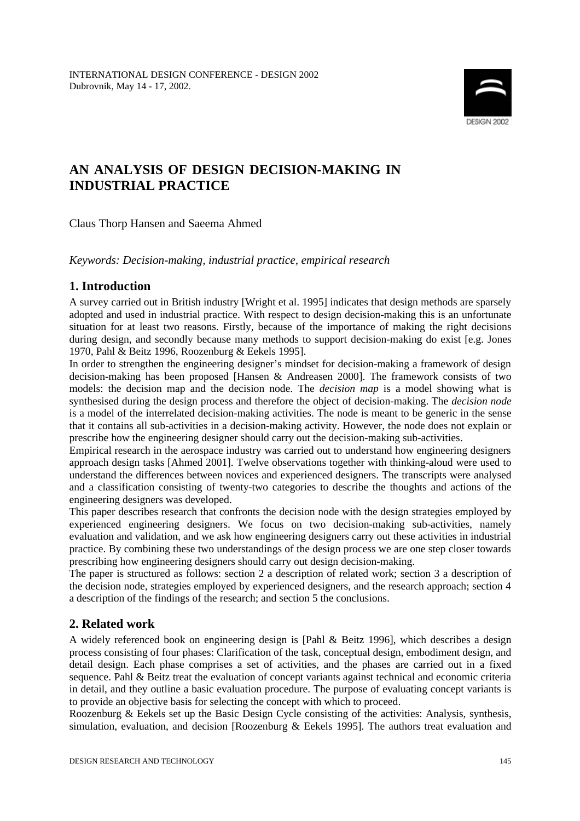

# **AN ANALYSIS OF DESIGN DECISION-MAKING IN INDUSTRIAL PRACTICE**

Claus Thorp Hansen and Saeema Ahmed

*Keywords: Decision-making, industrial practice, empirical research*

## **1. Introduction**

A survey carried out in British industry [Wright et al. 1995] indicates that design methods are sparsely adopted and used in industrial practice. With respect to design decision-making this is an unfortunate situation for at least two reasons. Firstly, because of the importance of making the right decisions during design, and secondly because many methods to support decision-making do exist [e.g. Jones 1970, Pahl & Beitz 1996, Roozenburg & Eekels 1995].

In order to strengthen the engineering designer's mindset for decision-making a framework of design decision-making has been proposed [Hansen & Andreasen 2000]. The framework consists of two models: the decision map and the decision node. The *decision map* is a model showing what is synthesised during the design process and therefore the object of decision-making. The *decision node* is a model of the interrelated decision-making activities. The node is meant to be generic in the sense that it contains all sub-activities in a decision-making activity. However, the node does not explain or prescribe how the engineering designer should carry out the decision-making sub-activities.

Empirical research in the aerospace industry was carried out to understand how engineering designers approach design tasks [Ahmed 2001]. Twelve observations together with thinking-aloud were used to understand the differences between novices and experienced designers. The transcripts were analysed and a classification consisting of twenty-two categories to describe the thoughts and actions of the engineering designers was developed.

This paper describes research that confronts the decision node with the design strategies employed by experienced engineering designers. We focus on two decision-making sub-activities, namely evaluation and validation, and we ask how engineering designers carry out these activities in industrial practice. By combining these two understandings of the design process we are one step closer towards prescribing how engineering designers should carry out design decision-making.

The paper is structured as follows: section 2 a description of related work; section 3 a description of the decision node, strategies employed by experienced designers, and the research approach; section 4 a description of the findings of the research; and section 5 the conclusions.

# **2. Related work**

A widely referenced book on engineering design is [Pahl & Beitz 1996], which describes a design process consisting of four phases: Clarification of the task, conceptual design, embodiment design, and detail design. Each phase comprises a set of activities, and the phases are carried out in a fixed sequence. Pahl & Beitz treat the evaluation of concept variants against technical and economic criteria in detail, and they outline a basic evaluation procedure. The purpose of evaluating concept variants is to provide an objective basis for selecting the concept with which to proceed.

Roozenburg & Eekels set up the Basic Design Cycle consisting of the activities: Analysis, synthesis, simulation, evaluation, and decision [Roozenburg & Eekels 1995]. The authors treat evaluation and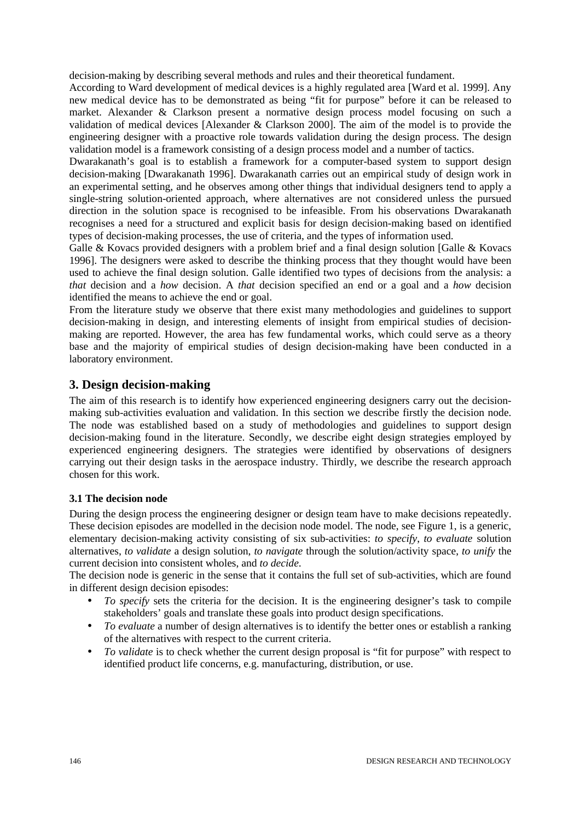decision-making by describing several methods and rules and their theoretical fundament.

According to Ward development of medical devices is a highly regulated area [Ward et al. 1999]. Any new medical device has to be demonstrated as being "fit for purpose" before it can be released to market. Alexander & Clarkson present a normative design process model focusing on such a validation of medical devices [Alexander & Clarkson 2000]. The aim of the model is to provide the engineering designer with a proactive role towards validation during the design process. The design validation model is a framework consisting of a design process model and a number of tactics.

Dwarakanath's goal is to establish a framework for a computer-based system to support design decision-making [Dwarakanath 1996]. Dwarakanath carries out an empirical study of design work in an experimental setting, and he observes among other things that individual designers tend to apply a single-string solution-oriented approach, where alternatives are not considered unless the pursued direction in the solution space is recognised to be infeasible. From his observations Dwarakanath recognises a need for a structured and explicit basis for design decision-making based on identified types of decision-making processes, the use of criteria, and the types of information used.

Galle & Kovacs provided designers with a problem brief and a final design solution [Galle & Kovacs 1996]. The designers were asked to describe the thinking process that they thought would have been used to achieve the final design solution. Galle identified two types of decisions from the analysis: a *that* decision and a *how* decision. A *that* decision specified an end or a goal and a *how* decision identified the means to achieve the end or goal.

From the literature study we observe that there exist many methodologies and guidelines to support decision-making in design, and interesting elements of insight from empirical studies of decisionmaking are reported. However, the area has few fundamental works, which could serve as a theory base and the majority of empirical studies of design decision-making have been conducted in a laboratory environment.

## **3. Design decision-making**

The aim of this research is to identify how experienced engineering designers carry out the decisionmaking sub-activities evaluation and validation. In this section we describe firstly the decision node. The node was established based on a study of methodologies and guidelines to support design decision-making found in the literature. Secondly, we describe eight design strategies employed by experienced engineering designers. The strategies were identified by observations of designers carrying out their design tasks in the aerospace industry. Thirdly, we describe the research approach chosen for this work.

### **3.1 The decision node**

During the design process the engineering designer or design team have to make decisions repeatedly. These decision episodes are modelled in the decision node model. The node, see Figure 1, is a generic, elementary decision-making activity consisting of six sub-activities: *to specify*, *to evaluate* solution alternatives, *to validate* a design solution, *to navigate* through the solution/activity space, *to unify* the current decision into consistent wholes, and *to decide*.

The decision node is generic in the sense that it contains the full set of sub-activities, which are found in different design decision episodes:

- *To specify* sets the criteria for the decision. It is the engineering designer's task to compile stakeholders' goals and translate these goals into product design specifications.
- *To evaluate* a number of design alternatives is to identify the better ones or establish a ranking of the alternatives with respect to the current criteria.
- *To validate* is to check whether the current design proposal is "fit for purpose" with respect to identified product life concerns, e.g. manufacturing, distribution, or use.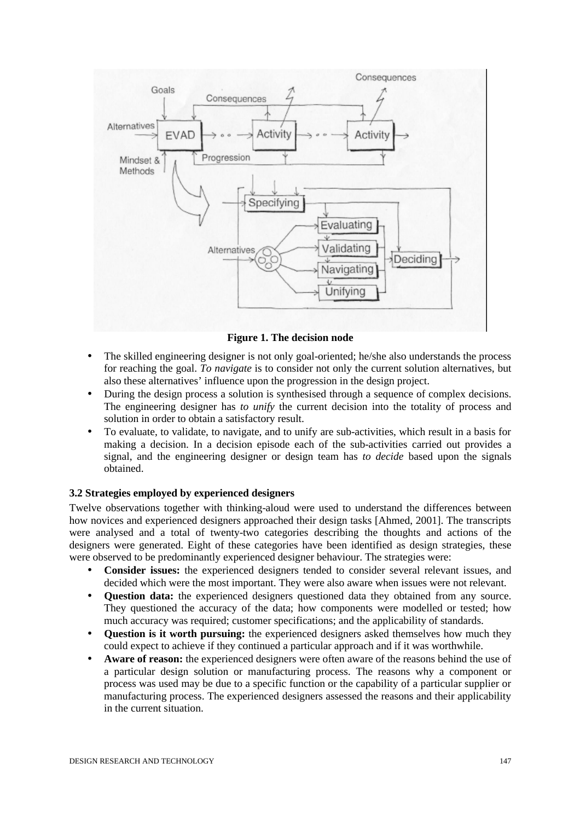

**Figure 1. The decision node**

- The skilled engineering designer is not only goal-oriented; he/she also understands the process for reaching the goal. *To navigate* is to consider not only the current solution alternatives, but also these alternatives' influence upon the progression in the design project.
- During the design process a solution is synthesised through a sequence of complex decisions. The engineering designer has *to unify* the current decision into the totality of process and solution in order to obtain a satisfactory result.
- To evaluate, to validate, to navigate, and to unify are sub-activities, which result in a basis for making a decision. In a decision episode each of the sub-activities carried out provides a signal, and the engineering designer or design team has *to decide* based upon the signals obtained.

## **3.2 Strategies employed by experienced designers**

Twelve observations together with thinking-aloud were used to understand the differences between how novices and experienced designers approached their design tasks [Ahmed, 2001]. The transcripts were analysed and a total of twenty-two categories describing the thoughts and actions of the designers were generated. Eight of these categories have been identified as design strategies, these were observed to be predominantly experienced designer behaviour. The strategies were:

- **Consider issues:** the experienced designers tended to consider several relevant issues, and decided which were the most important. They were also aware when issues were not relevant.
- **Question data:** the experienced designers questioned data they obtained from any source. They questioned the accuracy of the data; how components were modelled or tested; how much accuracy was required; customer specifications; and the applicability of standards.
- **Question is it worth pursuing:** the experienced designers asked themselves how much they could expect to achieve if they continued a particular approach and if it was worthwhile.
- **Aware of reason:** the experienced designers were often aware of the reasons behind the use of a particular design solution or manufacturing process. The reasons why a component or process was used may be due to a specific function or the capability of a particular supplier or manufacturing process. The experienced designers assessed the reasons and their applicability in the current situation.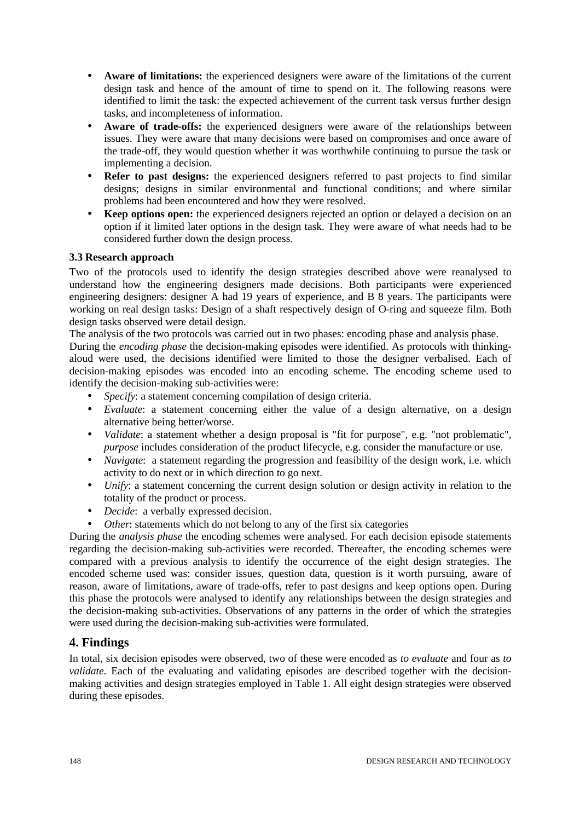- **Aware of limitations:** the experienced designers were aware of the limitations of the current design task and hence of the amount of time to spend on it. The following reasons were identified to limit the task: the expected achievement of the current task versus further design tasks, and incompleteness of information.
- **Aware of trade-offs:** the experienced designers were aware of the relationships between issues. They were aware that many decisions were based on compromises and once aware of the trade-off, they would question whether it was worthwhile continuing to pursue the task or implementing a decision.
- **Refer to past designs:** the experienced designers referred to past projects to find similar designs; designs in similar environmental and functional conditions; and where similar problems had been encountered and how they were resolved.
- **Keep options open:** the experienced designers rejected an option or delayed a decision on an option if it limited later options in the design task. They were aware of what needs had to be considered further down the design process.

## **3.3 Research approach**

Two of the protocols used to identify the design strategies described above were reanalysed to understand how the engineering designers made decisions. Both participants were experienced engineering designers: designer A had 19 years of experience, and B 8 years. The participants were working on real design tasks: Design of a shaft respectively design of O-ring and squeeze film. Both design tasks observed were detail design.

The analysis of the two protocols was carried out in two phases: encoding phase and analysis phase.

During the *encoding phase* the decision-making episodes were identified. As protocols with thinkingaloud were used, the decisions identified were limited to those the designer verbalised. Each of decision-making episodes was encoded into an encoding scheme. The encoding scheme used to identify the decision-making sub-activities were:

- *Specify:* a statement concerning compilation of design criteria.
- *Evaluate*: a statement concerning either the value of a design alternative, on a design alternative being better/worse.
- *Validate*: a statement whether a design proposal is "fit for purpose", e.g. "not problematic", *purpose* includes consideration of the product lifecycle, e.g. consider the manufacture or use.
- *Navigate*: a statement regarding the progression and feasibility of the design work, i.e. which activity to do next or in which direction to go next.
- *Unify*: a statement concerning the current design solution or design activity in relation to the totality of the product or process.
- *Decide*: a verbally expressed decision.
- *Other*: statements which do not belong to any of the first six categories

During the *analysis phase* the encoding schemes were analysed. For each decision episode statements regarding the decision-making sub-activities were recorded. Thereafter, the encoding schemes were compared with a previous analysis to identify the occurrence of the eight design strategies. The encoded scheme used was: consider issues, question data, question is it worth pursuing, aware of reason, aware of limitations, aware of trade-offs, refer to past designs and keep options open. During this phase the protocols were analysed to identify any relationships between the design strategies and the decision-making sub-activities. Observations of any patterns in the order of which the strategies were used during the decision-making sub-activities were formulated.

# **4. Findings**

In total, six decision episodes were observed, two of these were encoded as *to evaluate* and four as *to validate.* Each of the evaluating and validating episodes are described together with the decisionmaking activities and design strategies employed in Table 1. All eight design strategies were observed during these episodes.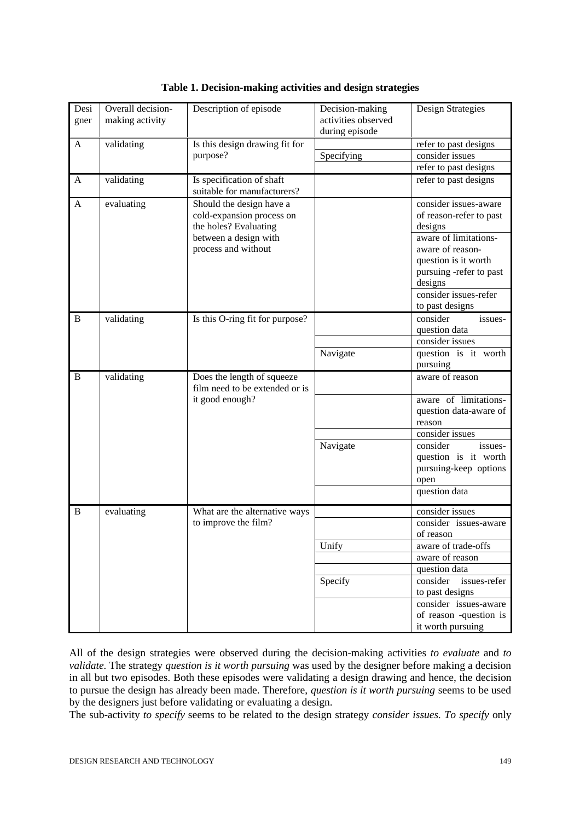| Overall decision-<br>Description of episode<br>Desi<br>Decision-making          | Design Strategies<br>activities observed |
|---------------------------------------------------------------------------------|------------------------------------------|
| making activity<br>gner<br>during episode                                       |                                          |
|                                                                                 |                                          |
| validating<br>Is this design drawing fit for<br>A<br>purpose?<br>Specifying     | refer to past designs<br>consider issues |
|                                                                                 | refer to past designs                    |
|                                                                                 |                                          |
| Is specification of shaft<br>validating<br>A<br>suitable for manufacturers?     | refer to past designs                    |
| Should the design have a<br>A<br>evaluating                                     | consider issues-aware                    |
| cold-expansion process on                                                       | of reason-refer to past                  |
| the holes? Evaluating                                                           | designs                                  |
| between a design with                                                           | aware of limitations-                    |
| process and without                                                             | aware of reason-                         |
|                                                                                 | question is it worth                     |
|                                                                                 | pursuing -refer to past                  |
|                                                                                 | designs                                  |
|                                                                                 | consider issues-refer                    |
|                                                                                 | to past designs                          |
| B<br>validating<br>Is this O-ring fit for purpose?                              | consider<br>issues-                      |
|                                                                                 | question data                            |
|                                                                                 | consider issues                          |
| Navigate                                                                        | question is it worth                     |
|                                                                                 | pursuing                                 |
| Does the length of squeeze<br>B<br>validating<br>film need to be extended or is | aware of reason                          |
| it good enough?                                                                 | aware of limitations-                    |
|                                                                                 | question data-aware of                   |
|                                                                                 | reason                                   |
|                                                                                 | consider issues                          |
| Navigate                                                                        | consider<br>issues-                      |
|                                                                                 | question is it worth                     |
|                                                                                 | pursuing-keep options                    |
|                                                                                 | open                                     |
|                                                                                 | question data                            |
| B<br>evaluating<br>What are the alternative ways                                | consider issues                          |
| to improve the film?                                                            | consider issues-aware                    |
|                                                                                 | of reason                                |
| Unify                                                                           | aware of trade-offs                      |
|                                                                                 | aware of reason                          |
|                                                                                 | question data                            |
| Specify                                                                         | consider<br>issues-refer                 |
|                                                                                 | to past designs                          |
|                                                                                 | consider issues-aware                    |
|                                                                                 |                                          |
|                                                                                 | of reason -question is                   |

|  |  |  | Table 1. Decision-making activities and design strategies |
|--|--|--|-----------------------------------------------------------|
|  |  |  |                                                           |

All of the design strategies were observed during the decision-making activities *to evaluate* and *to validate.* The strategy *question is it worth pursuing* was used by the designer before making a decision in all but two episodes. Both these episodes were validating a design drawing and hence, the decision to pursue the design has already been made. Therefore, *question is it worth pursuing* seems to be used by the designers just before validating or evaluating a design.

The sub-activity *to specify* seems to be related to the design strategy *consider issues. To specify* only